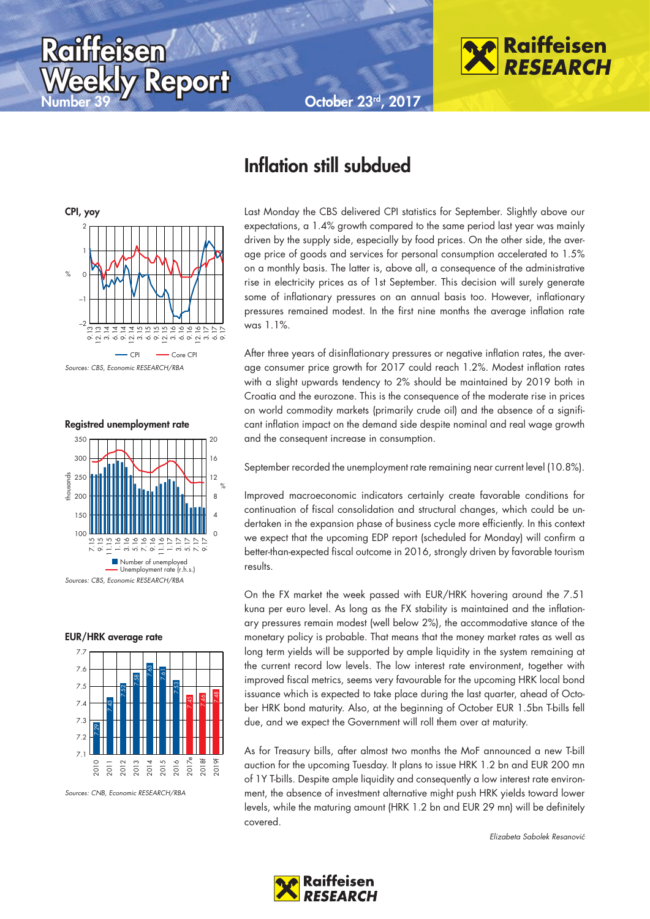October 23rd, 2017



CPI, yoy  $\frac{1}{\sqrt{2}}$ –2  $\equiv$  $\mathcal{C}$ 1 2 9.13 12.13 3.14 6.14 9.14 .<br>ام 5.15<br>12.15<br>12.15<br>12.15<br>12.15<br>12.15<br>12.15<br>12.15 6.17 9.17 CPI<sup>---</sup>Core CP Sources: CBS, Economic RESEARCH/RBA

Report

**Raiffeisen** 

Registred unemployment rate







Sources: CNB, Economic RESEARCH/RBA

## Inflation still subdued

Last Monday the CBS delivered CPI statistics for September. Slightly above our expectations, a 1.4% growth compared to the same period last year was mainly driven by the supply side, especially by food prices. On the other side, the average price of goods and services for personal consumption accelerated to 1.5% on a monthly basis. The latter is, above all, a consequence of the administrative rise in electricity prices as of 1st September. This decision will surely generate some of inflationary pressures on an annual basis too. However, inflationary pressures remained modest. In the first nine months the average inflation rate was 1.1%.

After three years of disinflationary pressures or negative inflation rates, the average consumer price growth for 2017 could reach 1.2%. Modest inflation rates with a slight upwards tendency to 2% should be maintained by 2019 both in Croatia and the eurozone. This is the consequence of the moderate rise in prices on world commodity markets (primarily crude oil) and the absence of a significant inflation impact on the demand side despite nominal and real wage growth and the consequent increase in consumption.

September recorded the unemployment rate remaining near current level (10.8%).

Improved macroeconomic indicators certainly create favorable conditions for continuation of fiscal consolidation and structural changes, which could be undertaken in the expansion phase of business cycle more efficiently. In this context we expect that the upcoming EDP report (scheduled for Monday) will confirm a better-than-expected fiscal outcome in 2016, strongly driven by favorable tourism results.

On the FX market the week passed with EUR/HRK hovering around the 7.51 kuna per euro level. As long as the FX stability is maintained and the inflationary pressures remain modest (well below 2%), the accommodative stance of the monetary policy is probable. That means that the money market rates as well as long term yields will be supported by ample liquidity in the system remaining at the current record low levels. The low interest rate environment, together with improved fiscal metrics, seems very favourable for the upcoming HRK local bond issuance which is expected to take place during the last quarter, ahead of October HRK bond maturity. Also, at the beginning of October EUR 1.5bn T-bills fell due, and we expect the Government will roll them over at maturity.

As for Treasury bills, after almost two months the MoF announced a new T-bill auction for the upcoming Tuesday. It plans to issue HRK 1.2 bn and EUR 200 mn of 1Y T-bills. Despite ample liquidity and consequently a low interest rate environment, the absence of investment alternative might push HRK yields toward lower levels, while the maturing amount (HRK 1.2 bn and EUR 29 mn) will be definitely covered.

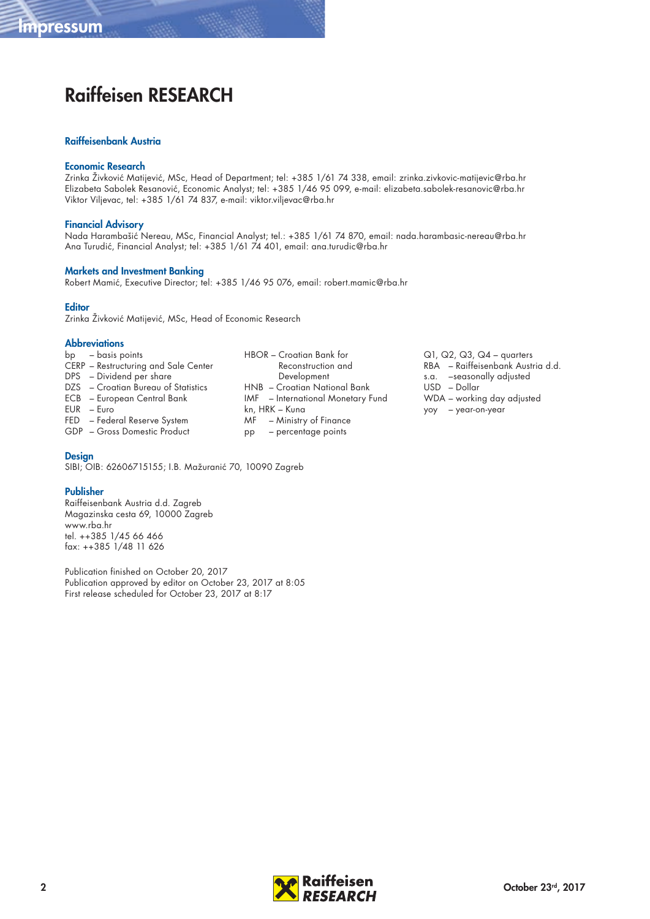# Raiffeisen RESEARCH

#### Raiffeisenbank Austria

#### Economic Research

Zrinka Živković Matijević, MSc, Head of Department; tel: +385 1/61 74 338, email: zrinka.zivkovic-matijevic@rba.hr Elizabeta Sabolek Resanović, Economic Analyst; tel: +385 1/46 95 099, e-mail: elizabeta.sabolek-resanovic@rba.hr Viktor Viljevac, tel: +385 1/61 74 837, e-mail: viktor.viljevac@rba.hr

#### Financial Advisory

Nada Harambašić Nereau, MSc, Financial Analyst; tel.: +385 1/61 74 870, email: nada.harambasic-nereau@rba.hr Ana Turudić, Financial Analyst; tel: +385 1/61 74 401, email: ana.turudic@rba.hr

#### Markets and Investment Banking

Robert Mamić, Executive Director; tel: +385 1/46 95 076, email: robert.mamic@rba.hr

#### **Editor**

Zrinka Živković Matijević, MSc, Head of Economic Research

#### **Abbreviations**

- bp basis points CERP – Restructuring and Sale Center DPS – Dividend per share DZS – Croatian Bureau of Statistics ECB – European Central Bank
- EUR Euro
- FED Federal Reserve System
- GDP Gross Domestic Product

#### **Design**

SIBI; OIB: 62606715155; I.B. Mažuranić 70, 10090 Zagreb

#### Publisher

Raiffeisenbank Austria d.d. Zagreb Magazinska cesta 69, 10000 Zagreb www.rba.hr tel. ++385 1/45 66 466 fax: ++385 1/48 11 626

Publication finished on October 20, 2017 Publication approved by editor on October 23, 2017 at 8:05 First release scheduled for October 23, 2017 at 8:17

- HBOR Croatian Bank for Reconstruction and Development HNB – Croatian National Bank IMF – International Monetary Fund kn, HRK – Kuna MF – Ministry of Finance pp – percentage points
- Q1, Q2, Q3, Q4 quarters RBA – Raiffeisenbank Austria d.d. s.a. –seasonally adjusted USD – Dollar WDA – working day adjusted yoy – year-on-year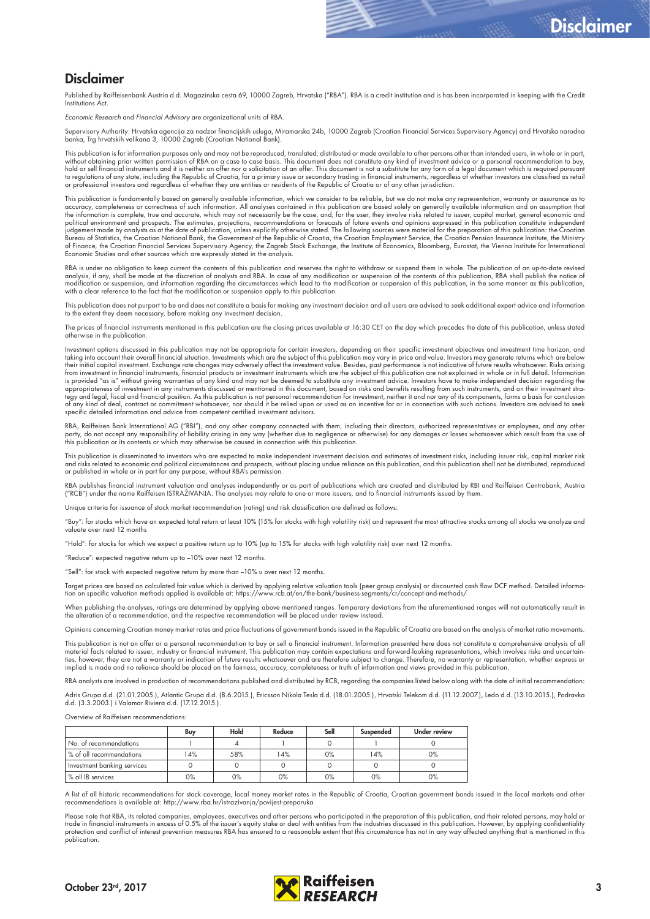### Disclaimer

Published by Raiffeisenbank Austria d.d. Magazinska cesta 69, 10000 Zagreb, Hrvatska ("RBA"). RBA is a credit institution and is has been incorporated in keeping with the Credit Institutions Act.

Economic Research and Financial Advisory are organizational units of RBA.

Supervisory Authority: Hrvatska agencija za nadzor financijskih usluga, Miramarska 24b, 10000 Zagreb (Croatian Financial Services Supervisory Agency) and Hrvatska narodna<br>banka, Trg hrvatskih velikana 3, 10000 Zagreb (Croa

This publication is for information purposes only and may not be reproduced, translated, distributed or made available to other persons other than intended users, in whole or in part, without obtaining prior written permission of RBA on a case to case basis. This document does not constitute any kind of investment advice or a personal recommendation to buy, hold or sell tinancial instruments and it is neither an otter nor a solicitation of an otter. This document is not a substitute tor any torm ot a legal document which is required pursuant<br>to regulations of any state, inclu or professional investors and regardless of whether they are entities or residents of the Republic of Croatia or of any other jurisdiction.

This publication is fundamentally based on generally available information, which we consider to be reliable, but we do not make any representation, warranty or assurance as to accuracy, completeness or correctness of such information. All analyses contained in this publication are based solely on generally available information and on assumption that<br>the information is complete, true and accurat political environment and prospects. The estimates, projections, recommendations or forecasts of future events and opinions expressed in this publication constitute independent<br>judgement made by analysts as at the date of Bureau of Statistics, the Croatian National Bank, the Government of the Republic of Croatia, the Croatian Employment Service, the Croatian Pension Insurance Institute, the Ministry of Finance, the Croatian Financial Services Supervisory Agency, the Zagreb Stock Exchange, the Institute of Economics, Bloomberg, Eurostat, the Vienna Institute for International<br>Economic Studies and other sources which ar

RBA is under no obligation to keep current the contents of this publication and reserves the right to withdraw or suspend them in whole. The publication of an up-to-date revised analysis, if any, shall be made at the discretion of analysts and RBA. In case of any modification or suspension of the contents of this publication, RBA shall publish the notice of modification or suspension, and information regarding the circumstances which lead to the modification or suspension of this publication, in the same manner as this publication,<br>with a clear reference to the fact that the

This publication does not purport to be and does not constitute a basis for making any investment decision and all users are advised to seek additional expert advice and information to the extent they deem necessary, before making any investment decision.

The prices of financial instruments mentioned in this publication are the closing prices available at 16:30 CET on the day which precedes the date of this publication, unless stated otherwise in the publication.

Investment options discussed in this publication may not be appropriate for certain investors, depending on their specific investment objectives and investment time horizon, and taking into account their overall financial situation. Investments which are the subject of this publication may vary in price and value. Investors may generate returns which are below<br>their initial capital investment. Exc from investment in financial instruments, financial products or investment instruments which are the subject of this publication are not explained in whole or in full detail. Information is provided "as is" without giving warranties of any kind and may not be deemed to substitute any investment advice. Investors have to make independent decision regarding the appropriateness of investment in any instruments discussed or mentioned in this document, based on risks and benefits resulting from such instruments, and on their investment stra-<br>tegy and legal, fiscal and financial posi specific detailed information and advice from competent certified investment advisors.

RBA, Raiffeisen Bank International AG ("RBI"), and any other company connected with them, including their directors, authorized representatives or employees, and any other<br>party, do not accept any responsibility of liabili

This publication is disseminated to investors who are expected to make independent investment decision and estimates of investment risks, including issuer risk, capital market risk and risks related to economic and political circumstances and prospects, without placing undue reliance on this publication, and this publication shall not be distributed, reproduced<br>or published in whole or in part for an

RBA publishes financial instrument valuation and analyses independently or as part of publications which are created and distributed by RBI and Raiffeisen Centrobank, Austria<br>("RCB") under the name Raiffeisen ISTRAŽIVANJA.

e criteria for issuance of stock market recommendation (rating) and risk classification are defined as follows:

"Buy": for stocks which have an expected total return at least 10% (15% for stocks with high volatility risk) and represent the most attractive stocks among all stocks we analyze and valuate over next 12 months

"Hold": for stocks for which we expect a positive return up to 10% (up to 15% for stocks with high volatility risk) over next 12 months.

"Reduce": expected negative return up to –10% over next 12 months.

"Sell": for stock with expected negative return by more than –10% u over next 12 months.

Target prices are based on calculated fair value which is derived by applying relative valuation tools (peer group analysis) or discounted cash flow DCF method. Detailed informa:<br>tion on specific valuation methods applied

When publishing the analyses, ratings are determined by applying above mentioned ranges. Temporary deviations from the aforementioned ranges will not automatically result in<br>the alteration of a recommendation, and the resp

Opinions concerning Croatian money market rates and price fluctuations of government bonds issued in the Republic of Croatia are based on the analysis of market ratio movements.

This publication is not an offer or a personal recommendation to buy or sell a financial instrument. Information presented here does not constitute a comprehensive analysis of all material facts related to issuer, industry or financial instrument. This publication may contain expectations and forward-looking representations, which involves risks and uncertain-<br>ties, however, they are not a warranty

RBA analysts are involved in production of recommendations published and distributed by RCB, regarding the companies listed below along with the date of initial recommendation:

Adris Grupa d.d. (21.01.2005.), Atlantic Grupa d.d. (8.6.2015.), Ericsson Nikola Tesla d.d. (18.01.2005.), Hrvatski Telekom d.d. (11.12.2007.), Ledo d.d. (13.10.2015.), Podravka<br>d.d. (3.3.2003.) i Valamar Riviera d.d. (17.

Overview of Raiffeisen recommendations

|                             | Buy | Hold | Reduce | Sell  | Suspended | <b>Under review</b> |
|-----------------------------|-----|------|--------|-------|-----------|---------------------|
| No. of recommendations      |     |      |        |       |           |                     |
| & of all recommendations »  | 4%  | 58%  | 14%    | 0%    | 14%       | 0%                  |
| Investment banking services |     |      |        |       |           |                     |
| % all IB services           | 0%  | 0%   | 0%     | $0\%$ | 0%        | 0%                  |

A list of all historic recommendations for stock coverage, local money market rates in the Republic of Croatia, Croatian government bonds issued in the local markets and other<br>recommendations is available at: http://www.rb

Please note that RBA, its related companies, employees, executives and other persons who participated in the preparation of this publication, and their related persons, may hold or<br>trade in financial instruments in excess protection and conflict of interest prevention measures RBA has ensured to a reasonable extent that this circumstance has not in any way affected anything that is mentioned in this publication.